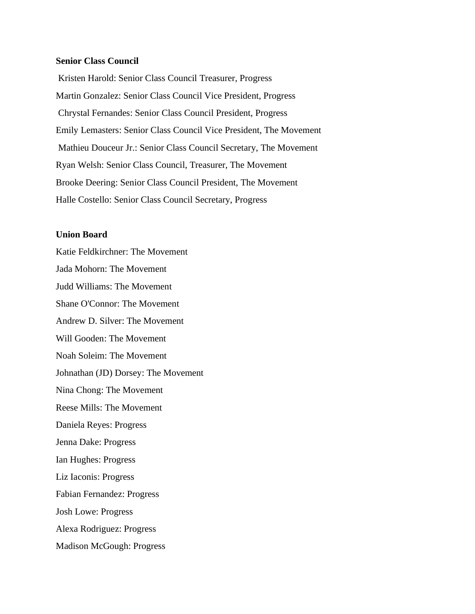# **Senior Class Council**

Kristen Harold: Senior Class Council Treasurer, Progress Martin Gonzalez: Senior Class Council Vice President, Progress Chrystal Fernandes: Senior Class Council President, Progress Emily Lemasters: Senior Class Council Vice President, The Movement Mathieu Douceur Jr.: Senior Class Council Secretary, The Movement Ryan Welsh: Senior Class Council, Treasurer, The Movement Brooke Deering: Senior Class Council President, The Movement Halle Costello: Senior Class Council Secretary, Progress

## **Union Board**

Katie Feldkirchner: The Movement Jada Mohorn: The Movement Judd Williams: The Movement Shane O'Connor: The Movement Andrew D. Silver: The Movement Will Gooden: The Movement Noah Soleim: The Movement Johnathan (JD) Dorsey: The Movement Nina Chong: The Movement Reese Mills: The Movement Daniela Reyes: Progress Jenna Dake: Progress Ian Hughes: Progress Liz Iaconis: Progress Fabian Fernandez: Progress Josh Lowe: Progress Alexa Rodriguez: Progress Madison McGough: Progress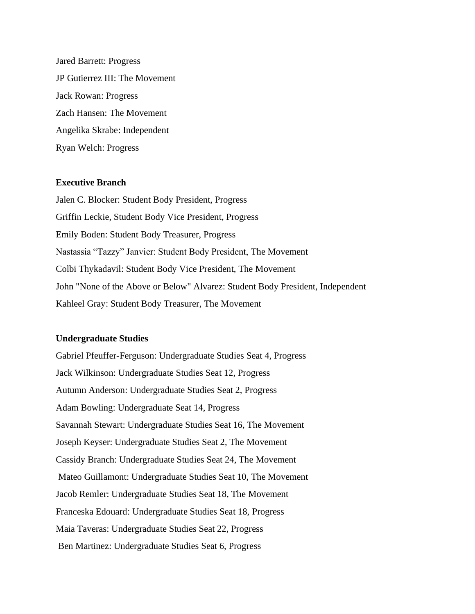Jared Barrett: Progress JP Gutierrez III: The Movement Jack Rowan: Progress Zach Hansen: The Movement Angelika Skrabe: Independent Ryan Welch: Progress

#### **Executive Branch**

Jalen C. Blocker: Student Body President, Progress Griffin Leckie, Student Body Vice President, Progress Emily Boden: Student Body Treasurer, Progress Nastassia "Tazzy" Janvier: Student Body President, The Movement Colbi Thykadavil: Student Body Vice President, The Movement John "None of the Above or Below" Alvarez: Student Body President, Independent Kahleel Gray: Student Body Treasurer, The Movement

#### **Undergraduate Studies**

Gabriel Pfeuffer-Ferguson: Undergraduate Studies Seat 4, Progress Jack Wilkinson: Undergraduate Studies Seat 12, Progress Autumn Anderson: Undergraduate Studies Seat 2, Progress Adam Bowling: Undergraduate Seat 14, Progress Savannah Stewart: Undergraduate Studies Seat 16, The Movement Joseph Keyser: Undergraduate Studies Seat 2, The Movement Cassidy Branch: Undergraduate Studies Seat 24, The Movement Mateo Guillamont: Undergraduate Studies Seat 10, The Movement Jacob Remler: Undergraduate Studies Seat 18, The Movement Franceska Edouard: Undergraduate Studies Seat 18, Progress Maia Taveras: Undergraduate Studies Seat 22, Progress Ben Martinez: Undergraduate Studies Seat 6, Progress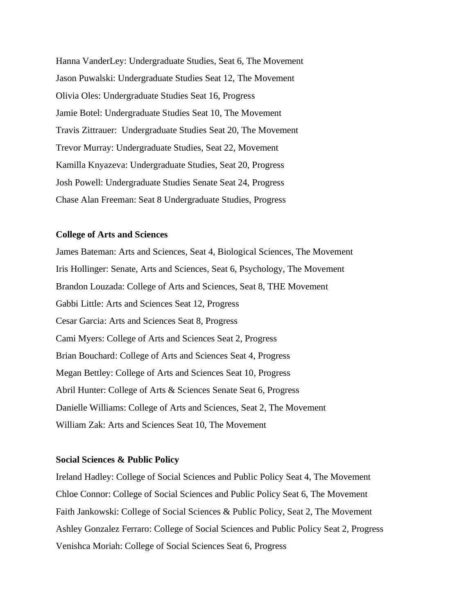Hanna VanderLey: Undergraduate Studies, Seat 6, The Movement Jason Puwalski: Undergraduate Studies Seat 12, The Movement Olivia Oles: Undergraduate Studies Seat 16, Progress Jamie Botel: Undergraduate Studies Seat 10, The Movement Travis Zittrauer: Undergraduate Studies Seat 20, The Movement Trevor Murray: Undergraduate Studies, Seat 22, Movement Kamilla Knyazeva: Undergraduate Studies, Seat 20, Progress Josh Powell: Undergraduate Studies Senate Seat 24, Progress Chase Alan Freeman: Seat 8 Undergraduate Studies, Progress

#### **College of Arts and Sciences**

James Bateman: Arts and Sciences, Seat 4, Biological Sciences, The Movement Iris Hollinger: Senate, Arts and Sciences, Seat 6, Psychology, The Movement Brandon Louzada: College of Arts and Sciences, Seat 8, THE Movement Gabbi Little: Arts and Sciences Seat 12, Progress Cesar Garcia: Arts and Sciences Seat 8, Progress Cami Myers: College of Arts and Sciences Seat 2, Progress Brian Bouchard: College of Arts and Sciences Seat 4, Progress Megan Bettley: College of Arts and Sciences Seat 10, Progress Abril Hunter: College of Arts & Sciences Senate Seat 6, Progress Danielle Williams: College of Arts and Sciences, Seat 2, The Movement William Zak: Arts and Sciences Seat 10, The Movement

#### **Social Sciences & Public Policy**

Ireland Hadley: College of Social Sciences and Public Policy Seat 4, The Movement Chloe Connor: College of Social Sciences and Public Policy Seat 6, The Movement Faith Jankowski: College of Social Sciences & Public Policy, Seat 2, The Movement Ashley Gonzalez Ferraro: College of Social Sciences and Public Policy Seat 2, Progress Venishca Moriah: College of Social Sciences Seat 6, Progress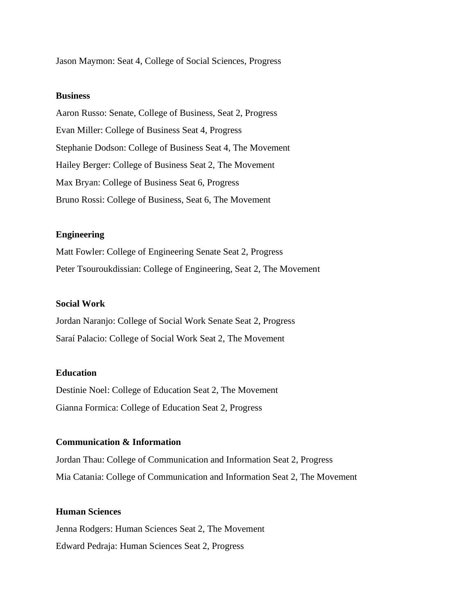Jason Maymon: Seat 4, College of Social Sciences, Progress

# **Business**

Aaron Russo: Senate, College of Business, Seat 2, Progress Evan Miller: College of Business Seat 4, Progress Stephanie Dodson: College of Business Seat 4, The Movement Hailey Berger: College of Business Seat 2, The Movement Max Bryan: College of Business Seat 6, Progress Bruno Rossi: College of Business, Seat 6, The Movement

# **Engineering**

Matt Fowler: College of Engineering Senate Seat 2, Progress Peter Tsouroukdissian: College of Engineering, Seat 2, The Movement

# **Social Work**

Jordan Naranjo: College of Social Work Senate Seat 2, Progress Saraí Palacio: College of Social Work Seat 2, The Movement

#### **Education**

Destinie Noel: College of Education Seat 2, The Movement Gianna Formica: College of Education Seat 2, Progress

#### **Communication & Information**

Jordan Thau: College of Communication and Information Seat 2, Progress Mia Catania: College of Communication and Information Seat 2, The Movement

# **Human Sciences**

Jenna Rodgers: Human Sciences Seat 2, The Movement Edward Pedraja: Human Sciences Seat 2, Progress